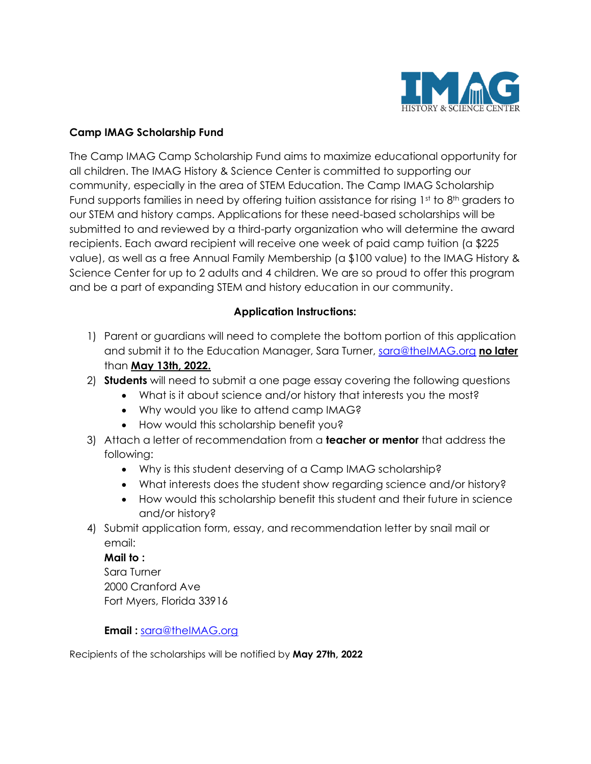

## **Camp IMAG Scholarship Fund**

The Camp IMAG Camp Scholarship Fund aims to maximize educational opportunity for all children. The IMAG History & Science Center is committed to supporting our community, especially in the area of STEM Education. The Camp IMAG Scholarship Fund supports families in need by offering tuition assistance for rising  $1<sup>st</sup>$  to  $8<sup>th</sup>$  graders to our STEM and history camps. Applications for these need-based scholarships will be submitted to and reviewed by a third-party organization who will determine the award recipients. Each award recipient will receive one week of paid camp tuition (a \$225 value), as well as a free Annual Family Membership (a \$100 value) to the IMAG History & Science Center for up to 2 adults and 4 children. We are so proud to offer this program and be a part of expanding STEM and history education in our community.

## **Application Instructions:**

- 1) Parent or guardians will need to complete the bottom portion of this application and submit it to the Education Manager, Sara Turner, [sara@theIMAG.org](mailto:sara@theIMAG.org) **no later** than **May 13th, 2022.**
- 2) **Students** will need to submit a one page essay covering the following questions
	- What is it about science and/or history that interests you the most?
		- Why would you like to attend camp IMAG?
		- How would this scholarship benefit you?
- 3) Attach a letter of recommendation from a **teacher or mentor** that address the following:
	- Why is this student deserving of a Camp IMAG scholarship?
	- What interests does the student show regarding science and/or history?
	- How would this scholarship benefit this student and their future in science and/or history?
- 4) Submit application form, essay, and recommendation letter by snail mail or email:

### **Mail to :**

Sara Turner 2000 Cranford Ave Fort Myers, Florida 33916

# **Email :** [sara@theIMAG.org](mailto:sara@theIMAG.org)

Recipients of the scholarships will be notified by **May 27th, 2022**